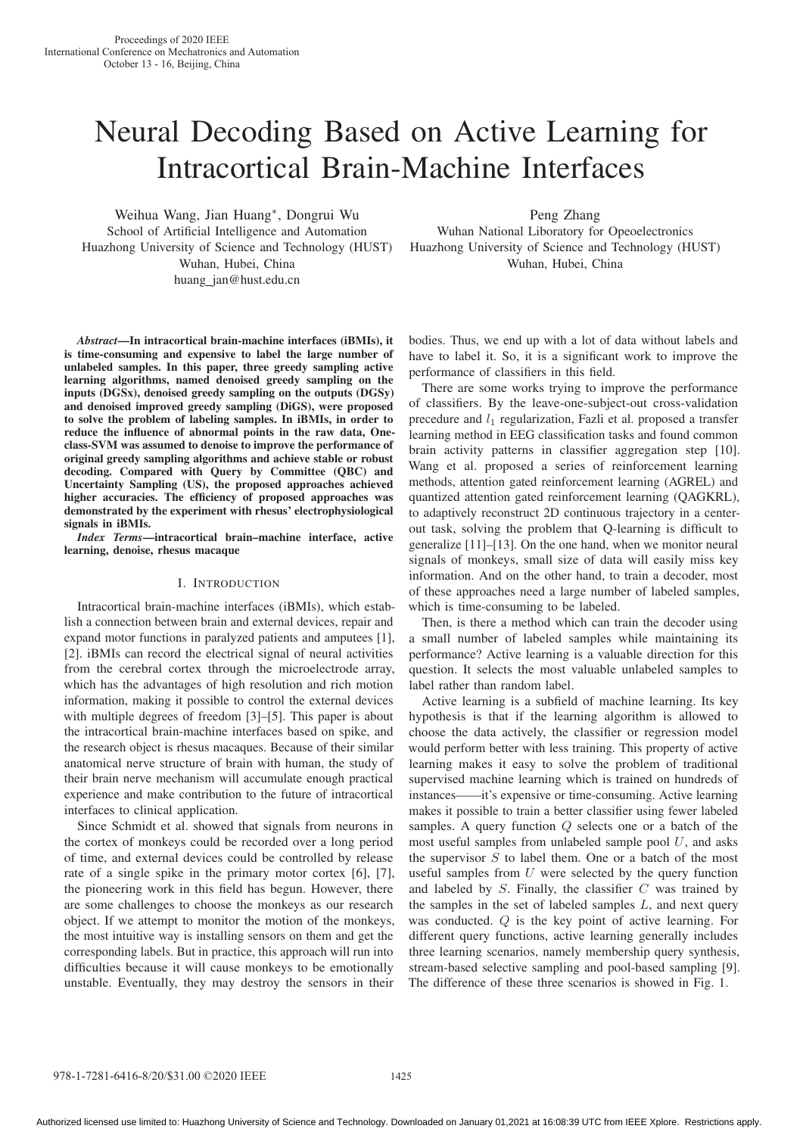# Neural Decoding Based on Active Learning for Intracortical Brain-Machine Interfaces

Weihua Wang, Jian Huang∗, Dongrui Wu School of Artificial Intelligence and Automation Huazhong University of Science and Technology (HUST) Wuhan, Hubei, China huang jan@hust.edu.cn

Peng Zhang

Wuhan National Liboratory for Opeoelectronics Huazhong University of Science and Technology (HUST) Wuhan, Hubei, China

*Abstract*—In intracortical brain-machine interfaces (iBMIs), it is time-consuming and expensive to label the large number of unlabeled samples. In this paper, three greedy sampling active learning algorithms, named denoised greedy sampling on the inputs (DGSx), denoised greedy sampling on the outputs (DGSy) and denoised improved greedy sampling (DiGS), were proposed to solve the problem of labeling samples. In iBMIs, in order to reduce the influence of abnormal points in the raw data, Oneclass-SVM was assumed to denoise to improve the performance of original greedy sampling algorithms and achieve stable or robust decoding. Compared with Query by Committee (QBC) and Uncertainty Sampling (US), the proposed approaches achieved higher accuracies. The efficiency of proposed approaches was demonstrated by the experiment with rhesus' electrophysiological signals in iBMIs.

*Index Terms*—intracortical brain–machine interface, active learning, denoise, rhesus macaque

# I. INTRODUCTION

Intracortical brain-machine interfaces (iBMIs), which establish a connection between brain and external devices, repair and expand motor functions in paralyzed patients and amputees [1], [2]. iBMIs can record the electrical signal of neural activities from the cerebral cortex through the microelectrode array, which has the advantages of high resolution and rich motion information, making it possible to control the external devices with multiple degrees of freedom [3]–[5]. This paper is about the intracortical brain-machine interfaces based on spike, and the research object is rhesus macaques. Because of their similar anatomical nerve structure of brain with human, the study of their brain nerve mechanism will accumulate enough practical experience and make contribution to the future of intracortical interfaces to clinical application.

Since Schmidt et al. showed that signals from neurons in the cortex of monkeys could be recorded over a long period of time, and external devices could be controlled by release rate of a single spike in the primary motor cortex [6], [7], the pioneering work in this field has begun. However, there are some challenges to choose the monkeys as our research object. If we attempt to monitor the motion of the monkeys, the most intuitive way is installing sensors on them and get the corresponding labels. But in practice, this approach will run into difficulties because it will cause monkeys to be emotionally unstable. Eventually, they may destroy the sensors in their

bodies. Thus, we end up with a lot of data without labels and have to label it. So, it is a significant work to improve the performance of classifiers in this field.

There are some works trying to improve the performance of classifiers. By the leave-one-subject-out cross-validation precedure and  $l_1$  regularization, Fazli et al. proposed a transfer learning method in EEG classification tasks and found common brain activity patterns in classifier aggregation step [10]. Wang et al. proposed a series of reinforcement learning methods, attention gated reinforcement learning (AGREL) and quantized attention gated reinforcement learning (QAGKRL), to adaptively reconstruct 2D continuous trajectory in a centerout task, solving the problem that Q-learning is difficult to generalize [11]–[13]. On the one hand, when we monitor neural signals of monkeys, small size of data will easily miss key information. And on the other hand, to train a decoder, most of these approaches need a large number of labeled samples, which is time-consuming to be labeled.

Then, is there a method which can train the decoder using a small number of labeled samples while maintaining its performance? Active learning is a valuable direction for this question. It selects the most valuable unlabeled samples to label rather than random label.

Active learning is a subfield of machine learning. Its key hypothesis is that if the learning algorithm is allowed to choose the data actively, the classifier or regression model would perform better with less training. This property of active learning makes it easy to solve the problem of traditional supervised machine learning which is trained on hundreds of instances——it's expensive or time-consuming. Active learning makes it possible to train a better classifier using fewer labeled samples. A query function Q selects one or a batch of the most useful samples from unlabeled sample pool  $U$ , and asks the supervisor  $S$  to label them. One or a batch of the most useful samples from  $U$  were selected by the query function and labeled by  $S$ . Finally, the classifier  $C$  was trained by the samples in the set of labeled samples  $L$ , and next query was conducted. Q is the key point of active learning. For different query functions, active learning generally includes three learning scenarios, namely membership query synthesis, stream-based selective sampling and pool-based sampling [9]. The difference of these three scenarios is showed in Fig. 1.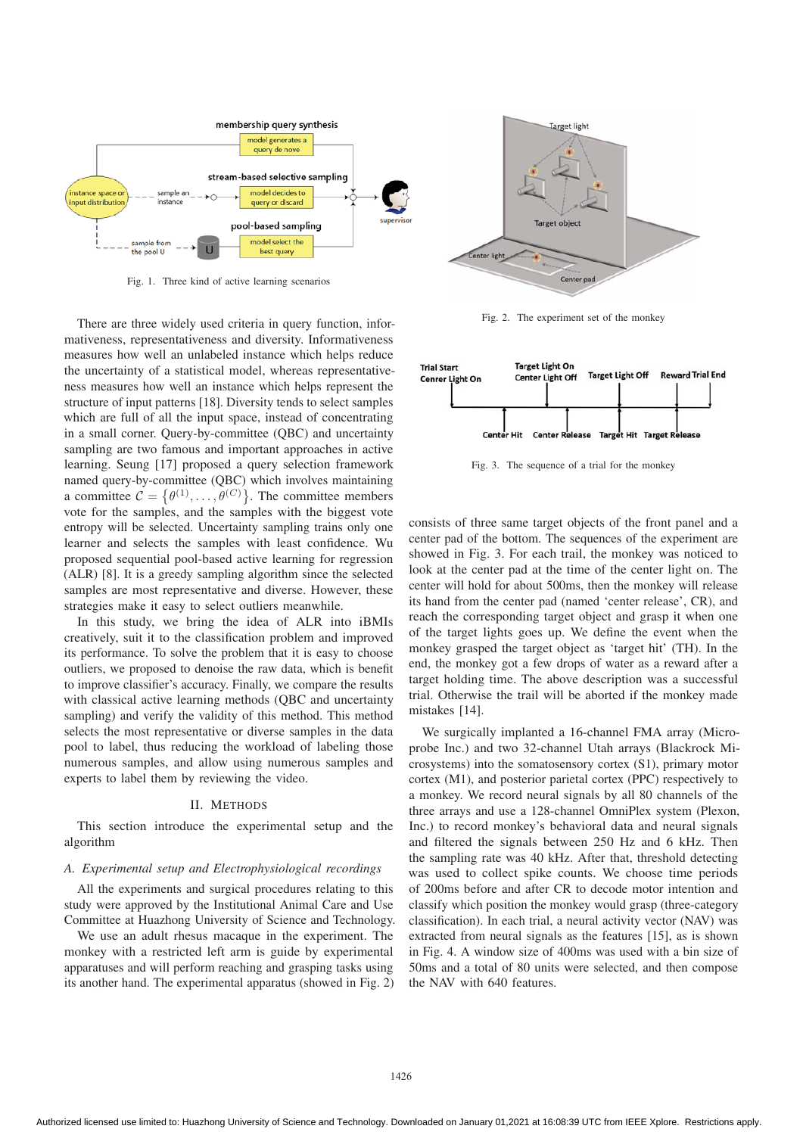

Fig. 1. Three kind of active learning scenarios

There are three widely used criteria in query function, informativeness, representativeness and diversity. Informativeness measures how well an unlabeled instance which helps reduce the uncertainty of a statistical model, whereas representativeness measures how well an instance which helps represent the structure of input patterns [18]. Diversity tends to select samples which are full of all the input space, instead of concentrating in a small corner. Query-by-committee (QBC) and uncertainty sampling are two famous and important approaches in active learning. Seung [17] proposed a query selection framework named query-by-committee (QBC) which involves maintaining a committee  $C = \{ \theta^{(1)}, \dots, \theta^{(C)} \}$ . The committee members vote for the samples, and the samples with the biggest vote entropy will be selected. Uncertainty sampling trains only one learner and selects the samples with least confidence. Wu proposed sequential pool-based active learning for regression (ALR) [8]. It is a greedy sampling algorithm since the selected samples are most representative and diverse. However, these strategies make it easy to select outliers meanwhile.

In this study, we bring the idea of ALR into iBMIs creatively, suit it to the classification problem and improved its performance. To solve the problem that it is easy to choose outliers, we proposed to denoise the raw data, which is benefit to improve classifier's accuracy. Finally, we compare the results with classical active learning methods (QBC and uncertainty sampling) and verify the validity of this method. This method selects the most representative or diverse samples in the data pool to label, thus reducing the workload of labeling those numerous samples, and allow using numerous samples and experts to label them by reviewing the video.

## II. METHODS

This section introduce the experimental setup and the algorithm

### *A. Experimental setup and Electrophysiological recordings*

All the experiments and surgical procedures relating to this study were approved by the Institutional Animal Care and Use Committee at Huazhong University of Science and Technology.

We use an adult rhesus macaque in the experiment. The monkey with a restricted left arm is guide by experimental apparatuses and will perform reaching and grasping tasks using its another hand. The experimental apparatus (showed in Fig. 2)



Fig. 2. The experiment set of the monkey



Fig. 3. The sequence of a trial for the monkey

consists of three same target objects of the front panel and a center pad of the bottom. The sequences of the experiment are showed in Fig. 3. For each trail, the monkey was noticed to look at the center pad at the time of the center light on. The center will hold for about 500ms, then the monkey will release its hand from the center pad (named 'center release', CR), and reach the corresponding target object and grasp it when one of the target lights goes up. We define the event when the monkey grasped the target object as 'target hit' (TH). In the end, the monkey got a few drops of water as a reward after a target holding time. The above description was a successful trial. Otherwise the trail will be aborted if the monkey made mistakes [14].

We surgically implanted a 16-channel FMA array (Microprobe Inc.) and two 32-channel Utah arrays (Blackrock Microsystems) into the somatosensory cortex (S1), primary motor cortex (M1), and posterior parietal cortex (PPC) respectively to a monkey. We record neural signals by all 80 channels of the three arrays and use a 128-channel OmniPlex system (Plexon, Inc.) to record monkey's behavioral data and neural signals and filtered the signals between 250 Hz and 6 kHz. Then the sampling rate was 40 kHz. After that, threshold detecting was used to collect spike counts. We choose time periods of 200ms before and after CR to decode motor intention and classify which position the monkey would grasp (three-category classification). In each trial, a neural activity vector (NAV) was extracted from neural signals as the features [15], as is shown in Fig. 4. A window size of 400ms was used with a bin size of 50ms and a total of 80 units were selected, and then compose the NAV with 640 features.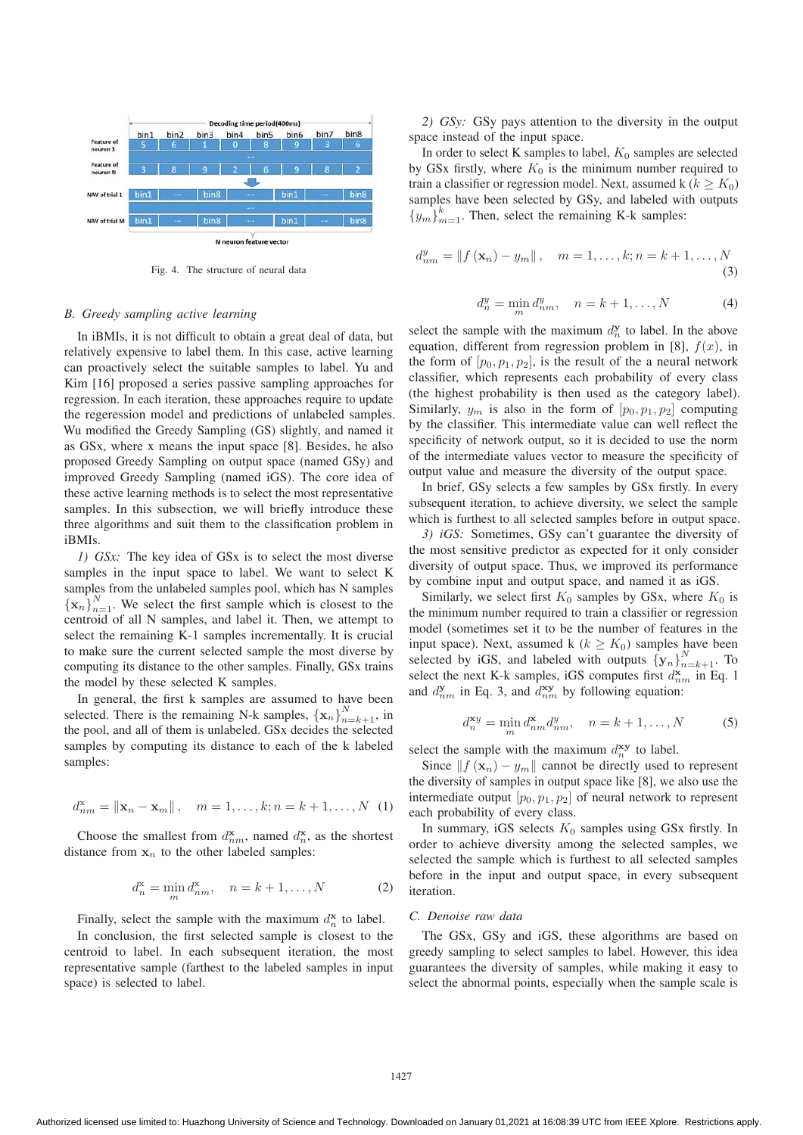

Fig. 4. The structure of neural data

#### *B. Greedy sampling active learning*

In iBMIs, it is not difficult to obtain a great deal of data, but relatively expensive to label them. In this case, active learning can proactively select the suitable samples to label. Yu and Kim [16] proposed a series passive sampling approaches for regression. In each iteration, these approaches require to update the regeression model and predictions of unlabeled samples. Wu modified the Greedy Sampling (GS) slightly, and named it as GSx, where x means the input space [8]. Besides, he also proposed Greedy Sampling on output space (named GSy) and improved Greedy Sampling (named iGS). The core idea of these active learning methods is to select the most representative samples. In this subsection, we will briefly introduce these three algorithms and suit them to the classification problem in iBMIs.

*1) GSx:* The key idea of GSx is to select the most diverse samples in the input space to label. We want to select K samples from the unlabeled samples pool, which has N samples  ${x_n}_{n=1}^N$ . We select the first sample which is closest to the centroid of all N samples, and label it. Then, we attempt to select the remaining K-1 samples incrementally. It is crucial to make sure the current selected sample the most diverse by computing its distance to the other samples. Finally, GSx trains the model by these selected K samples.

In general, the first k samples are assumed to have been selected. There is the remaining N-k samples,  $\{x_n\}_{n=k+1}^N$ , in the pool, and all of them is unlabeled. GSx decides the selected samples by computing its distance to each of the k labeled samples:

$$
d_{nm}^{\mathbf{x}} = ||\mathbf{x}_n - \mathbf{x}_m||
$$
,  $m = 1,..., k; n = k + 1,..., N$  (1)

Choose the smallest from  $d_{nm}^{\mathbf{x}}$ , named  $d_n^{\mathbf{x}}$ , as the shortest distance from  $x_n$  to the other labeled samples:

$$
d_n^{\mathbf{x}} = \min_m d_{nm}^{\mathbf{x}}, \quad n = k + 1, ..., N
$$
 (2)

Finally, select the sample with the maximum  $d_n^{\mathbf{x}}$  to label.

In conclusion, the first selected sample is closest to the centroid to label. In each subsequent iteration, the most representative sample (farthest to the labeled samples in input space) is selected to label.

*2) GSy:* GSy pays attention to the diversity in the output space instead of the input space.

In order to select K samples to label,  $K_0$  samples are selected by GSx firstly, where  $K_0$  is the minimum number required to train a classifier or regression model. Next, assumed k ( $k \geq K_0$ ) samples have been selected by GSy, and labeled with outputs  ${y_m}_{m=1}^k$ . Then, select the remaining K-k samples:

$$
d_{nm}^y = \|f(\mathbf{x}_n) - y_m\|, \quad m = 1, \dots, k; n = k+1, \dots, N
$$
\n(3)

$$
d_n^y = \min_m d_{nm}^y, \quad n = k+1, \dots, N
$$
 (4)

select the sample with the maximum  $d_n^{\mathbf{y}}$  to label. In the above equation, different from regression problem in [8],  $f(x)$ , in the form of  $[p_0, p_1, p_2]$ , is the result of the a neural network classifier, which represents each probability of every class (the highest probability is then used as the category label). Similarly,  $y_m$  is also in the form of  $[p_0, p_1, p_2]$  computing by the classifier. This intermediate value can well reflect the specificity of network output, so it is decided to use the norm of the intermediate values vector to measure the specificity of output value and measure the diversity of the output space.

In brief, GSy selects a few samples by GSx firstly. In every subsequent iteration, to achieve diversity, we select the sample which is furthest to all selected samples before in output space.

*3) iGS:* Sometimes, GSy can't guarantee the diversity of the most sensitive predictor as expected for it only consider diversity of output space. Thus, we improved its performance by combine input and output space, and named it as iGS.

Similarly, we select first  $K_0$  samples by GSx, where  $K_0$  is the minimum number required to train a classifier or regression model (sometimes set it to be the number of features in the input space). Next, assumed k ( $k \geq K_0$ ) samples have been selected by iGS, and labeled with outputs  $\{y_n\}_{n=k+1}^N$ . To select the next K-k samples, iGS computes first  $d_{nm}^{\mathbf{x}}$  in Eq. 1 and  $d_{nm}^{\mathbf{y}}$  in Eq. 3, and  $d_{nm}^{\mathbf{xy}}$  by following equation:

$$
d_n^{\mathbf{x}_y} = \min_m d_{nm}^{\mathbf{x}} d_{nm}^y, \quad n = k+1, \dots, N \tag{5}
$$

select the sample with the maximum  $d_n^{\text{xy}}$  to label.

Since  $|| f(\mathbf{x}_n) - y_m ||$  cannot be directly used to represent the diversity of samples in output space like [8], we also use the intermediate output  $[p_0, p_1, p_2]$  of neural network to represent each probability of every class.

In summary, iGS selects  $K_0$  samples using GSx firstly. In order to achieve diversity among the selected samples, we selected the sample which is furthest to all selected samples before in the input and output space, in every subsequent iteration.

#### *C. Denoise raw data*

The GSx, GSy and iGS, these algorithms are based on greedy sampling to select samples to label. However, this idea guarantees the diversity of samples, while making it easy to select the abnormal points, especially when the sample scale is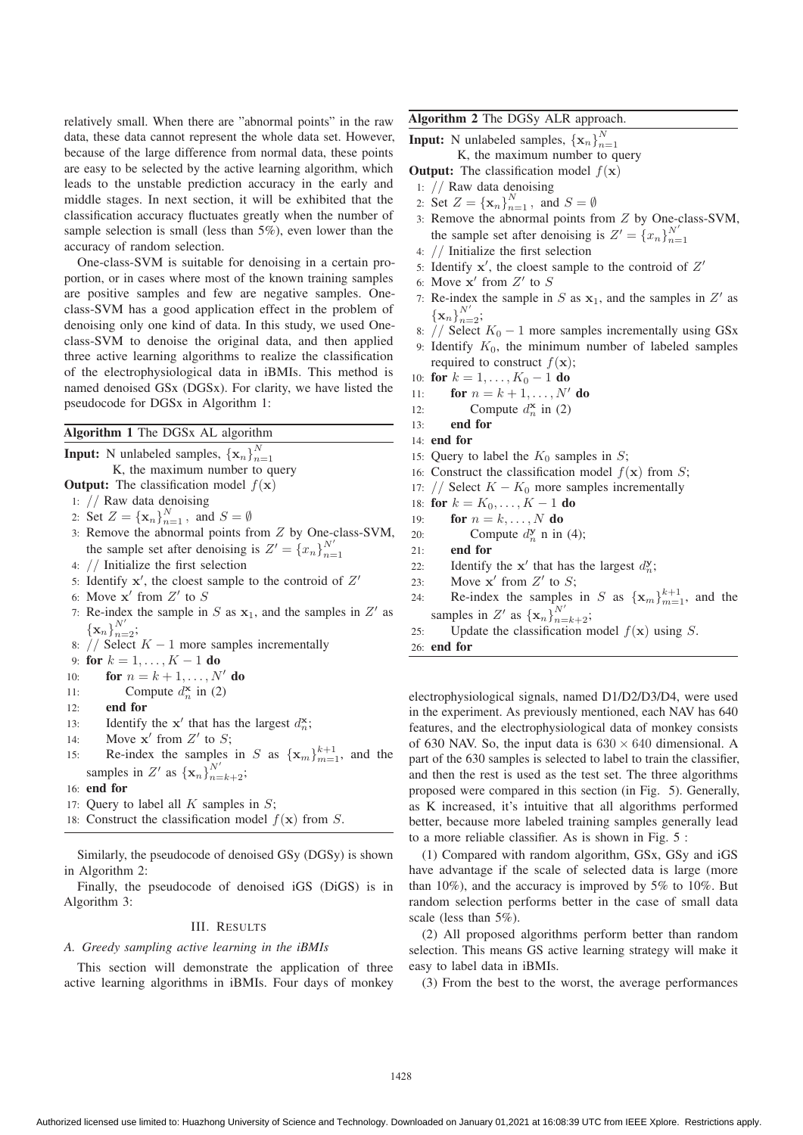relatively small. When there are "abnormal points" in the raw data, these data cannot represent the whole data set. However, because of the large difference from normal data, these points are easy to be selected by the active learning algorithm, which leads to the unstable prediction accuracy in the early and middle stages. In next section, it will be exhibited that the classification accuracy fluctuates greatly when the number of sample selection is small (less than 5%), even lower than the accuracy of random selection.

One-class-SVM is suitable for denoising in a certain proportion, or in cases where most of the known training samples are positive samples and few are negative samples. Oneclass-SVM has a good application effect in the problem of denoising only one kind of data. In this study, we used Oneclass-SVM to denoise the original data, and then applied three active learning algorithms to realize the classification of the electrophysiological data in iBMIs. This method is named denoised GSx (DGSx). For clarity, we have listed the pseudocode for DGSx in Algorithm 1:

Algorithm 1 The DGSx AL algorithm

**Input:** N unlabeled samples,  $\{\mathbf{x}_n\}_{n=1}^N$ 

K, the maximum number to query

- **Output:** The classification model  $f(\mathbf{x})$
- 1: // Raw data denoising
- 2: Set  $Z = {\mathbf{x}_n}_{n=1}^N$ , and  $S = \emptyset$
- 3: Remove the abnormal points from Z by One-class-SVM, the sample set after denoising is  $Z' = \{x_n\}_{n=1}^{N'}$
- 4: // Initialize the first selection
- 5: Identify  $x'$ , the cloest sample to the controid of  $Z'$
- 6: Move  $x'$  from  $Z'$  to S
- 7: Re-index the sample in  $S$  as  $x_1$ , and the samples in  $Z'$  as  ${\{\mathbf x_n\}}_{n=2}^{N'};$
- 8: // Select  $K 1$  more samples incrementally

9: for  $k = 1, ..., K - 1$  do<br>10: for  $n = k + 1, ..., N$ 

- 10: **for**  $n = k + 1, ..., N'$  **do**
- 11: Compute  $d_n^{\mathbf{x}}$  in (2)
- 12: end for
- 13: **Identify the**  $x'$  **that has the largest**  $d_n^{\mathbf{x}}$ **;**
- 14: Move **x**-' from  $Z'$  to  $S$ ;
- 15: Re-index the samples in S as  $\{x_m\}_{m=1}^{k+1}$ , and the samples in Z' as  $\{x_n\}_{n=k+2}^{N'}$ ;
- 16: end for
- 17: Query to label all  $K$  samples in  $S$ ;
- 18: Construct the classification model  $f(\mathbf{x})$  from S.

Similarly, the pseudocode of denoised GSy (DGSy) is shown in Algorithm 2:

Finally, the pseudocode of denoised iGS (DiGS) is in Algorithm 3:

# III. RESULTS

#### *A. Greedy sampling active learning in the iBMIs*

This section will demonstrate the application of three active learning algorithms in iBMIs. Four days of monkey Algorithm 2 The DGSy ALR approach.

**Input:** N unlabeled samples,  $\{\mathbf{x}_n\}_{n=1}^N$ 

K, the maximum number to query

- **Output:** The classification model  $f(\mathbf{x})$
- 1: // Raw data denoising
- 2: Set  $Z = {\mathbf{x}_n}_{n=1}^N$ , and  $S = \emptyset$
- 3: Remove the abnormal points from Z by One-class-SVM, the sample set after denoising is  $Z' = \{x_n\}_{n=1}^{N'}$
- 4: // Initialize the first selection
- 5: Identify  $x'$ , the cloest sample to the controid of  $Z'$
- 6: Move  $x'$  from  $Z'$  to S
- 7: Re-index the sample in  $S$  as  $x_1$ , and the samples in  $Z'$  as  ${\{\mathbf x}_n\}_{n=2}^{N'};$
- 8: // Select  $K_0 1$  more samples incrementally using GSx
- 9: Identify  $K_0$ , the minimum number of labeled samples required to construct  $f(\mathbf{x})$ ;
- 10: for  $k = 1, ..., K_0 1$  do<br>11: for  $n = k + 1, ..., N'$
- 11: **for**  $n = k + 1, ..., N'$  do
- 12: Compute  $d_n^{\mathbf{x}}$  in (2)
- 13: end for
- 14: end for
- 15: Query to label the  $K_0$  samples in S;
- 16: Construct the classification model  $f(\mathbf{x})$  from S;
- 17: // Select  $K K_0$  more samples incrementally<br>18: for  $k = K_0, ..., K 1$  do
- 18: for  $k = K_0, ..., K 1$  do<br>19: for  $n = k, ..., N$  do
- for  $n = k, \ldots, N$  do
- 20: Compute  $d_n^{\mathbf{y}}$  n in (4);
- 21: end for
- 22: **Identify the**  $x'$  **that has the largest**  $d_n^y$ **;**
- 23: Move  $x'$  from  $Z'$  to  $S$ ;
- 24: Re-index the samples in S as  $\{x_m\}_{m=1}^{k+1}$ , and the samples in Z' as  $\{x_n\}_{n=k+2}^{N'}$ ;
- 25: Update the classification model  $f(\mathbf{x})$  using S.

26: end for

electrophysiological signals, named D1/D2/D3/D4, were used in the experiment. As previously mentioned, each NAV has 640 features, and the electrophysiological data of monkey consists of 630 NAV. So, the input data is  $630 \times 640$  dimensional. A part of the 630 samples is selected to label to train the classifier, and then the rest is used as the test set. The three algorithms proposed were compared in this section (in Fig. 5). Generally, as K increased, it's intuitive that all algorithms performed better, because more labeled training samples generally lead to a more reliable classifier. As is shown in Fig. 5 :

(1) Compared with random algorithm, GSx, GSy and iGS have advantage if the scale of selected data is large (more than  $10\%$ ), and the accuracy is improved by 5% to 10%. But random selection performs better in the case of small data scale (less than 5%).

(2) All proposed algorithms perform better than random selection. This means GS active learning strategy will make it easy to label data in iBMIs.

(3) From the best to the worst, the average performances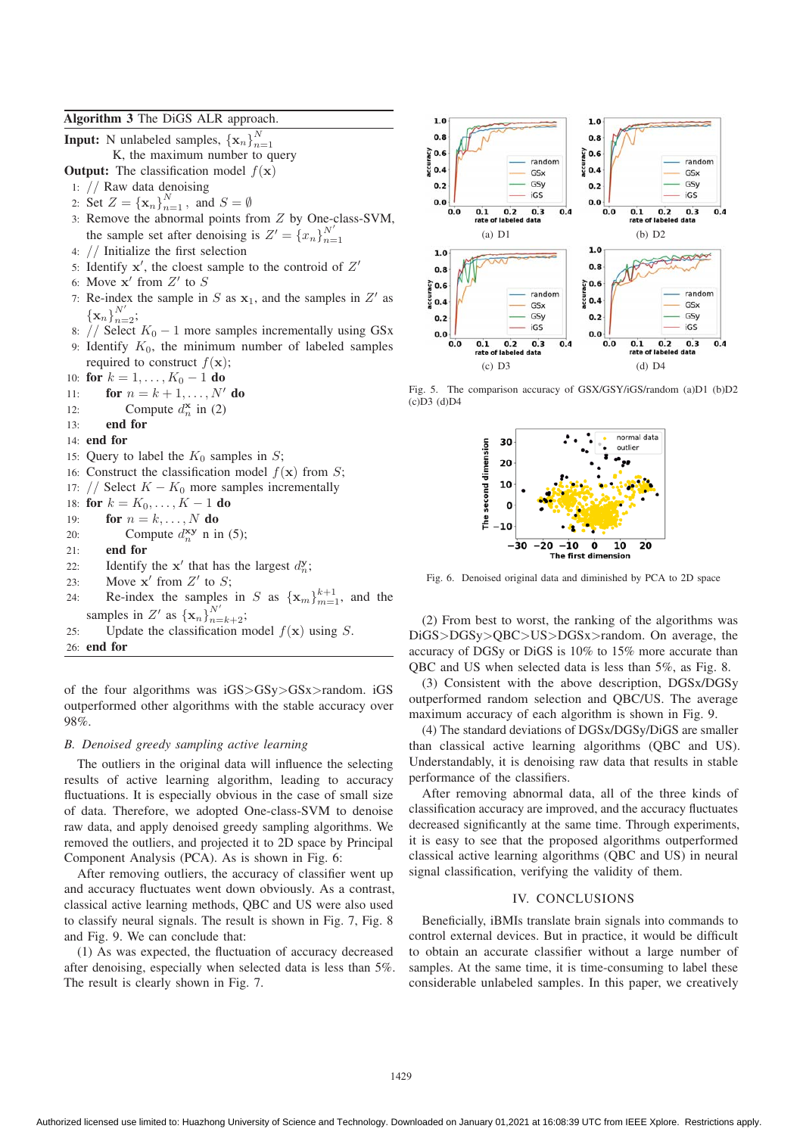| Algorithm 3 The DiGS ALR approach.                                |
|-------------------------------------------------------------------|
| <b>Input:</b> N unlabeled samples, $\{\mathbf{x}_n\}_{n=1}^N$     |
| K, the maximum number to query                                    |
| <b>Output:</b> The classification model $f(\mathbf{x})$           |
| 1: $//$ Raw data denoising                                        |
| 2: Set $Z = {\{\mathbf{x}_n\}}_{n=1}^N$ , and $S = \emptyset$     |
| 3: Remove the abnormal points from Z by One-class-SVM,            |
| the sample set after denoising is $Z' = \{x_n\}_{n=1}^{N'}$       |
| 4: $//$ Initialize the first selection                            |
| 5: Identify $x'$ , the cloest sample to the controid of $Z'$      |
| 6: Move $x'$ from $Z'$ to $S$                                     |
| 7: Re-index the sample in S as $x_1$ , and the samples in Z' as   |
| ${\bf x}_n\}_{n=2}^{N'};$                                         |
| 8: // Select $K_0 - 1$ more samples incrementally using GSx       |
| 9: Identify $K_0$ , the minimum number of labeled samples         |
| required to construct $f(\mathbf{x})$ ;                           |
| 10: for $k = 1, , K_0 - 1$ do                                     |
| for $n = k + 1, \ldots, N'$ do<br>11:                             |
| Compute $d_n^{\mathbf{x}}$ in (2)<br>12:                          |
| end for<br>13:                                                    |
| 14: end for                                                       |
| 15: Query to label the $K_0$ samples in S;                        |
| 16: Construct the classification model $f(\mathbf{x})$ from S;    |
| 17: // Select $K - K_0$ more samples incrementally                |
| 18: for $k = K_0, \ldots, K - 1$ do                               |
| for $n = k, \ldots, N$ do<br>19:                                  |
| Compute $d_n^{\mathbf{xy}}$ n in (5);<br>20:                      |
| end for<br>21:                                                    |
| Identify the $x'$ that has the largest $d_{n}^{y}$ ;<br>22:       |
| Move $x'$ from $Z'$ to $S$ ;<br>23:                               |
| Re-index the samples in S as ${x_m}_{m=1}^{k+1}$ , and the<br>24: |
| samples in Z' as $\{x_n\}_{n=k+2}^{N'}$ ;                         |
| Update the classification model $f(\mathbf{x})$ using S.<br>25:   |

26: end for

of the four algorithms was iGS>GSy>GSx>random. iGS outperformed other algorithms with the stable accuracy over 98%.

# *B. Denoised greedy sampling active learning*

The outliers in the original data will influence the selecting results of active learning algorithm, leading to accuracy fluctuations. It is especially obvious in the case of small size of data. Therefore, we adopted One-class-SVM to denoise raw data, and apply denoised greedy sampling algorithms. We removed the outliers, and projected it to 2D space by Principal Component Analysis (PCA). As is shown in Fig. 6:

After removing outliers, the accuracy of classifier went up and accuracy fluctuates went down obviously. As a contrast, classical active learning methods, QBC and US were also used to classify neural signals. The result is shown in Fig. 7, Fig. 8 and Fig. 9. We can conclude that:

(1) As was expected, the fluctuation of accuracy decreased after denoising, especially when selected data is less than 5%. The result is clearly shown in Fig. 7.



Fig. 5. The comparison accuracy of GSX/GSY/iGS/random (a)D1 (b)D2 (c)D3 (d)D4



Fig. 6. Denoised original data and diminished by PCA to 2D space

(2) From best to worst, the ranking of the algorithms was DiGS>DGSy>QBC>US>DGSx>random. On average, the accuracy of DGSy or DiGS is 10% to 15% more accurate than QBC and US when selected data is less than 5%, as Fig. 8.

(3) Consistent with the above description, DGSx/DGSy outperformed random selection and QBC/US. The average maximum accuracy of each algorithm is shown in Fig. 9.

(4) The standard deviations of DGSx/DGSy/DiGS are smaller than classical active learning algorithms (QBC and US). Understandably, it is denoising raw data that results in stable performance of the classifiers.

After removing abnormal data, all of the three kinds of classification accuracy are improved, and the accuracy fluctuates decreased significantly at the same time. Through experiments, it is easy to see that the proposed algorithms outperformed classical active learning algorithms (QBC and US) in neural signal classification, verifying the validity of them.

### IV. CONCLUSIONS

Beneficially, iBMIs translate brain signals into commands to control external devices. But in practice, it would be difficult to obtain an accurate classifier without a large number of samples. At the same time, it is time-consuming to label these considerable unlabeled samples. In this paper, we creatively